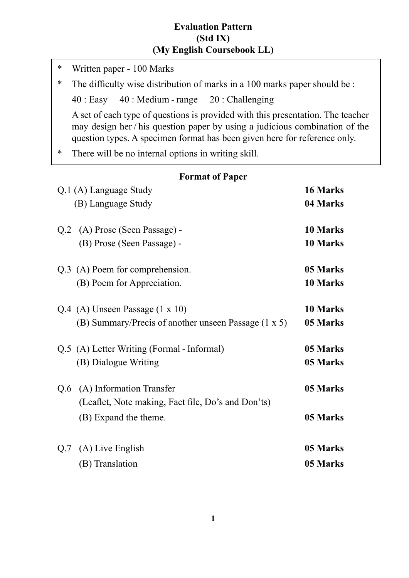## **Evaluation Pattern (Std IX) (My English Coursebook LL)**

- \* Written paper 100 Marks \* The difficulty wise distribution of marks in a 100 marks paper should be : 40 : Easy 40 : Medium - range 20 : Challenging A set of each type of questions is provided with this presentation. The teacher may design her / his question paper by using a judicious combination of the question types. A specimen format has been given here for reference only. \* There will be no internal options in writing skill. **Format of Paper** Q.1 (A) Language Study **16 Marks** (B) Language Study **04 Marks** Q.2 (A) Prose (Seen Passage) - **10 Marks** (B) Prose (Seen Passage) - **10 Marks** Q.3 (A) Poem for comprehension. **05 Marks** (B) Poem for Appreciation. **10 Marks** Q.4 (A) Unseen Passage (1 x 10) **10 Marks** (B) Summary/Precis of another unseen Passage (1 x 5) **05 Marks** Q.5 (A) Letter Writing (Formal - Informal) **05 Marks** (B) Dialogue Writing **05 Marks** Q.6 (A) Information Transfer **05 Marks** (Leaflet, Note making, Fact file, Do's and Don'ts) (B) Expand the theme. **05 Marks**
- Q.7 (A) Live English **05 Marks** (B) Translation **05 Marks**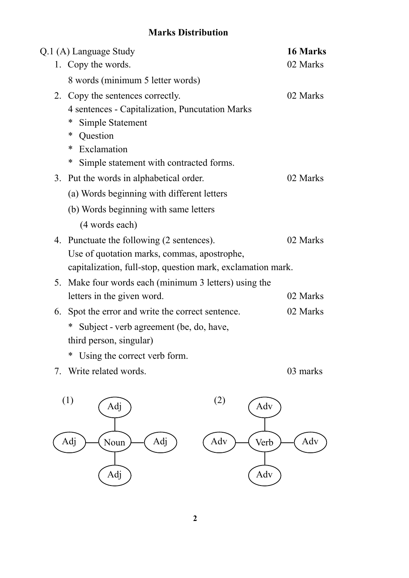## **Marks Distribution**

|    | Q.1 (A) Language Study                                      | 16 Marks |
|----|-------------------------------------------------------------|----------|
|    | 1. Copy the words.                                          | 02 Marks |
|    | 8 words (minimum 5 letter words)                            |          |
|    | 2. Copy the sentences correctly.                            | 02 Marks |
|    | 4 sentences - Capitalization, Puncutation Marks             |          |
|    | $\ast$<br>Simple Statement                                  |          |
|    | ∗<br>Question                                               |          |
|    | Exclamation<br>∗                                            |          |
|    | ∗<br>Simple statement with contracted forms.                |          |
|    | 3. Put the words in alphabetical order.                     | 02 Marks |
|    | (a) Words beginning with different letters                  |          |
|    | (b) Words beginning with same letters                       |          |
|    | (4 words each)                                              |          |
|    | 4. Punctuate the following (2 sentences).                   | 02 Marks |
|    | Use of quotation marks, commas, apostrophe,                 |          |
|    | capitalization, full-stop, question mark, exclamation mark. |          |
| 5. | Make four words each (minimum 3 letters) using the          |          |
|    | letters in the given word.                                  | 02 Marks |
| 6. | Spot the error and write the correct sentence.              | 02 Marks |
|    | Subject - verb agreement (be, do, have,<br>∗                |          |
|    | third person, singular)                                     |          |

- \* Using the correct verb form.
- 7. Write related words. 03 marks

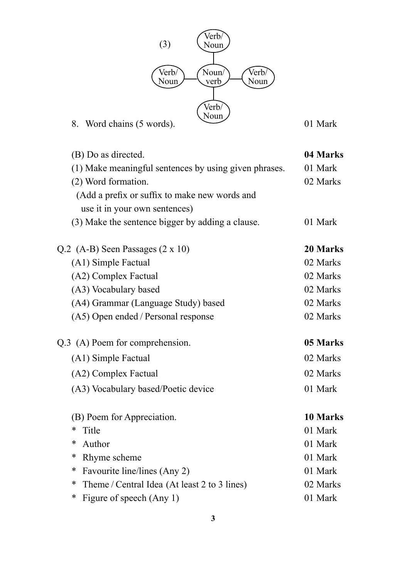

| (B) Do as directed.                                    | 04 Marks |
|--------------------------------------------------------|----------|
| (1) Make meaningful sentences by using given phrases.  | 01 Mark  |
| (2) Word formation.                                    | 02 Marks |
| (Add a prefix or suffix to make new words and          |          |
| use it in your own sentences)                          |          |
| (3) Make the sentence bigger by adding a clause.       | 01 Mark  |
| Q.2 (A-B) Seen Passages $(2 \times 10)$                | 20 Marks |
| (A1) Simple Factual                                    | 02 Marks |
| (A2) Complex Factual                                   | 02 Marks |
| (A3) Vocabulary based                                  | 02 Marks |
| (A4) Grammar (Language Study) based                    | 02 Marks |
| (A5) Open ended / Personal response                    | 02 Marks |
| Q.3 (A) Poem for comprehension.                        | 05 Marks |
| (A1) Simple Factual                                    | 02 Marks |
| (A2) Complex Factual                                   | 02 Marks |
| (A3) Vocabulary based/Poetic device                    | 01 Mark  |
| (B) Poem for Appreciation.                             | 10 Marks |
| ∗<br>Title                                             | 01 Mark  |
| Author<br>∗                                            | 01 Mark  |
| ∗<br>Rhyme scheme                                      | 01 Mark  |
| ∗<br>Favourite line/lines (Any 2)                      | 01 Mark  |
| $\ast$<br>Theme / Central Idea (At least 2 to 3 lines) | 02 Marks |
| *<br>Figure of speech (Any 1)                          | 01 Mark  |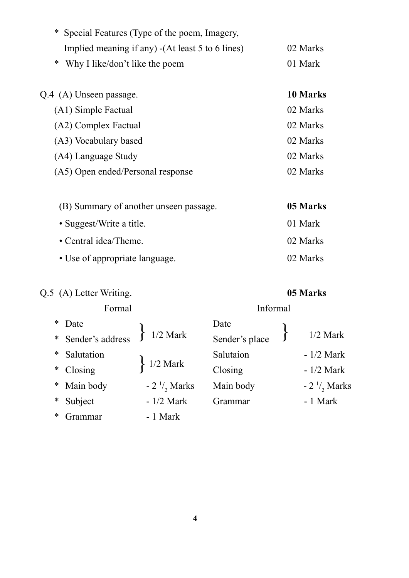| *<br>Special Features (Type of the poem, Imagery, |          |
|---------------------------------------------------|----------|
| Implied meaning if any) - (At least 5 to 6 lines) | 02 Marks |
| *<br>Why I like/don't like the poem               | 01 Mark  |
| Q.4 (A) Unseen passage.                           | 10 Marks |
| (A1) Simple Factual                               | 02 Marks |
| (A2) Complex Factual                              | 02 Marks |
| (A3) Vocabulary based                             | 02 Marks |
| (A4) Language Study                               | 02 Marks |
| (A5) Open ended/Personal response                 | 02 Marks |
| (B) Summary of another unseen passage.            | 05 Marks |
| • Suggest/Write a title.                          | 01 Mark  |
| • Central idea/Theme.                             | 02 Marks |
| • Use of appropriate language.                    | 02 Marks |

## Q.5 (A) Letter Writing. **05 Marks**

Formal Informal

| ∗ | Date               |                                             | Date           |                       |
|---|--------------------|---------------------------------------------|----------------|-----------------------|
|   | * Sender's address | $1/2$ Mark                                  | Sender's place | $1/2$ Mark            |
| ∗ | Salutation         |                                             | Salutaion      | $-1/2$ Mark           |
| ∗ | Closing            | $\left\{ \frac{1}{2} \text{ Mark} \right\}$ | Closing        | $-1/2$ Mark           |
|   | * Main body        | $-2\frac{1}{2}$ Marks                       | Main body      | $-2\frac{1}{2}$ Marks |
| ∗ | Subject            | $-1/2$ Mark                                 | Grammar        | - 1 Mark              |
| ∗ | Frammar            | - 1 Mark                                    |                |                       |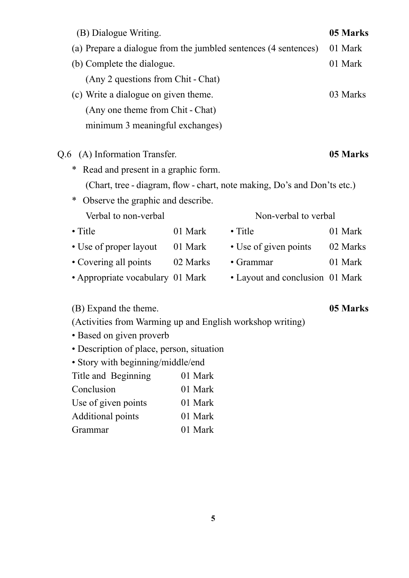| (B) Dialogue Writing.                                           |                                   |                                                                          | 05 Marks |  |
|-----------------------------------------------------------------|-----------------------------------|--------------------------------------------------------------------------|----------|--|
| (a) Prepare a dialogue from the jumbled sentences (4 sentences) | 01 Mark                           |                                                                          |          |  |
| (b) Complete the dialogue.                                      |                                   |                                                                          | 01 Mark  |  |
| (Any 2 questions from Chit - Chat)                              |                                   |                                                                          |          |  |
| (c) Write a dialogue on given theme.                            | 03 Marks                          |                                                                          |          |  |
|                                                                 | (Any one theme from Chit - Chat)  |                                                                          |          |  |
| minimum 3 meaningful exchanges)                                 |                                   |                                                                          |          |  |
| (A) Information Transfer.<br>Q.6                                |                                   |                                                                          | 05 Marks |  |
| Read and present in a graphic form.<br>∗                        |                                   |                                                                          |          |  |
|                                                                 |                                   | (Chart, tree - diagram, flow - chart, note making, Do's and Don'ts etc.) |          |  |
| ∗                                                               |                                   |                                                                          |          |  |
| Verbal to non-verbal                                            | Observe the graphic and describe. |                                                                          |          |  |
|                                                                 |                                   | Non-verbal to verbal                                                     |          |  |
| $\bullet$ Title                                                 | 01 Mark                           | $\bullet$ Title                                                          | 01 Mark  |  |
| • Use of proper layout 01 Mark                                  |                                   | • Use of given points                                                    | 02 Marks |  |
| • Covering all points 02 Marks                                  |                                   | • Grammar                                                                | 01 Mark  |  |
| • Appropriate vocabulary 01 Mark                                |                                   | • Layout and conclusion 01 Mark                                          |          |  |
| (B) Expand the theme.                                           |                                   |                                                                          | 05 Marks |  |
| (Activities from Warming up and English workshop writing)       |                                   |                                                                          |          |  |
| • Based on given proverb                                        |                                   |                                                                          |          |  |
| • Description of place, person, situation                       |                                   |                                                                          |          |  |
| • Story with beginning/middle/end                               |                                   |                                                                          |          |  |
| Title and Beginning                                             | 01 Mark                           |                                                                          |          |  |
| Conclusion                                                      | 01 Mark                           |                                                                          |          |  |
| Use of given points                                             | 01 Mark                           |                                                                          |          |  |

- Additional points 01 Mark
- Grammar 01 Mark